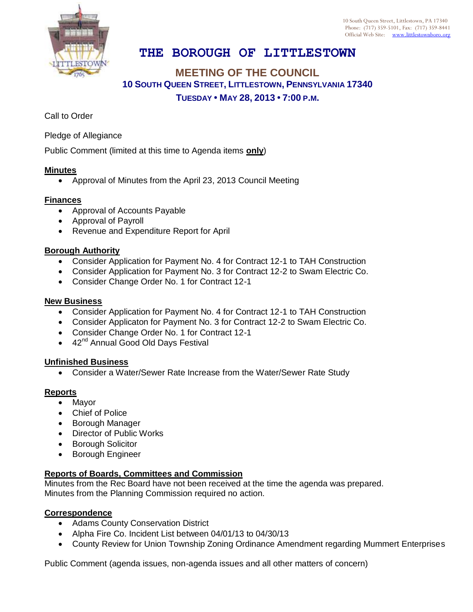

10 South Queen Street, Littlestown, PA 17340 Phone: (717) 359-5101, Fax: (717) 359-8441 Official Web Site: [www.littlestownboro.org](http://www.littlestown.us/)

# **THE BOROUGH OF LITTLESTOWN**

## **MEETING OF THE COUNCIL 10 SOUTH QUEEN STREET, LITTLESTOWN, PENNSYLVANIA 17340 TUESDAY • MAY 28, 2013 • 7:00 P.M.**

Call to Order

Pledge of Allegiance

Public Comment (limited at this time to Agenda items **only**)

### **Minutes**

Approval of Minutes from the April 23, 2013 Council Meeting

### **Finances**

- Approval of Accounts Payable
- Approval of Payroll
- Revenue and Expenditure Report for April

### **Borough Authority**

- Consider Application for Payment No. 4 for Contract 12-1 to TAH Construction
- Consider Application for Payment No. 3 for Contract 12-2 to Swam Electric Co.
- Consider Change Order No. 1 for Contract 12-1

#### **New Business**

- Consider Application for Payment No. 4 for Contract 12-1 to TAH Construction
- Consider Applicaton for Payment No. 3 for Contract 12-2 to Swam Electric Co.
- Consider Change Order No. 1 for Contract 12-1
- $\bullet$  42<sup>nd</sup> Annual Good Old Days Festival

#### **Unfinished Business**

Consider a Water/Sewer Rate Increase from the Water/Sewer Rate Study

## **Reports**

- Mayor
- Chief of Police
- **•** Borough Manager
- Director of Public Works
- **•** Borough Solicitor
- **•** Borough Engineer

## **Reports of Boards, Committees and Commission**

Minutes from the Rec Board have not been received at the time the agenda was prepared. Minutes from the Planning Commission required no action.

#### **Correspondence**

- Adams County Conservation District
- Alpha Fire Co. Incident List between 04/01/13 to 04/30/13
- County Review for Union Township Zoning Ordinance Amendment regarding Mummert Enterprises

Public Comment (agenda issues, non-agenda issues and all other matters of concern)